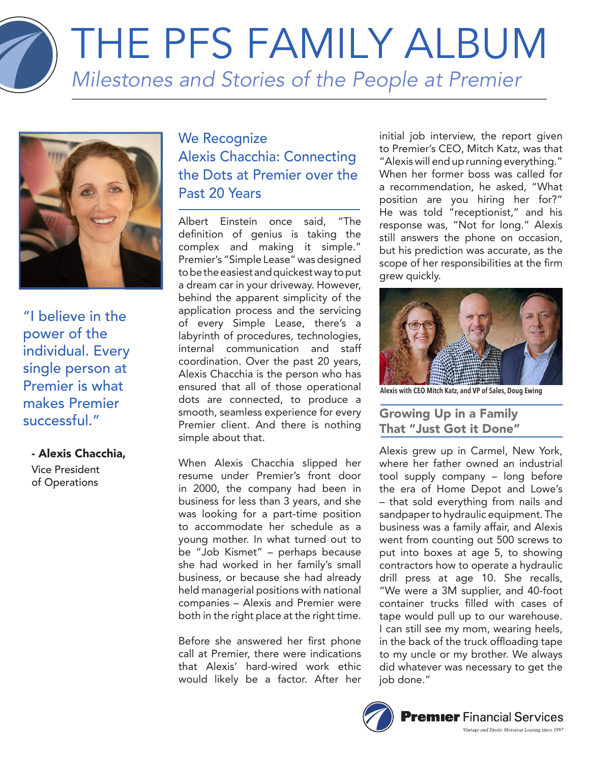

"I believe in the power of the individual. Every single person at Premier is what makes Premier successful."

# - Alexis Chacchia,

Vice President of Operations

# We Recognize Alexis Chacchia: Connecting the Dots at Premier over the Past 20 Years

Albert Einstein once said, "The definition of genius is taking the complex and making it simple." Premier's "Simple Lease" was designed to be the easiest and quickest way to put a dream car in your driveway. However, behind the apparent simplicity of the application process and the servicing of every Simple Lease, there's a labyrinth of procedures, technologies, internal communication and staff coordination. Over the past 20 years, Alexis Chacchia is the person who has ensured that all of those operational dots are connected, to produce a smooth, seamless experience for every Premier client. And there is nothing simple about that.

When Alexis Chacchia slipped her resume under Premier's front door in 2000, the company had been in business for less than 3 years, and she was looking for a part-time position to accommodate her schedule as a young mother. In what turned out to be "Job Kismet" – perhaps because she had worked in her family's small business, or because she had already held managerial positions with national companies – Alexis and Premier were both in the right place at the right time.

Before she answered her first phone call at Premier, there were indications that Alexis' hard-wired work ethic would likely be a factor. After her

initial job interview, the report given to Premier's CEO, Mitch Katz, was that "Alexis will end up running everything." When her former boss was called for a recommendation, he asked, "What position are you hiring her for?" He was told "receptionist," and his response was, "Not for long." Alexis still answers the phone on occasion, but his prediction was accurate, as the scope of her responsibilities at the firm grew quickly.



**Alexis with CEO Mitch Katz, and VP of Sales, Doug Ewing**

# Growing Up in a Family That "Just Got it Done"

Alexis grew up in Carmel, New York, where her father owned an industrial tool supply company – long before the era of Home Depot and Lowe's – that sold everything from nails and sandpaper to hydraulic equipment. The business was a family affair, and Alexis went from counting out 500 screws to put into boxes at age 5, to showing contractors how to operate a hydraulic drill press at age 10. She recalls, "We were a 3M supplier, and 40-foot container trucks filled with cases of tape would pull up to our warehouse. I can still see my mom, wearing heels, in the back of the truck offloading tape to my uncle or my brother. We always did whatever was necessary to get the iob done."

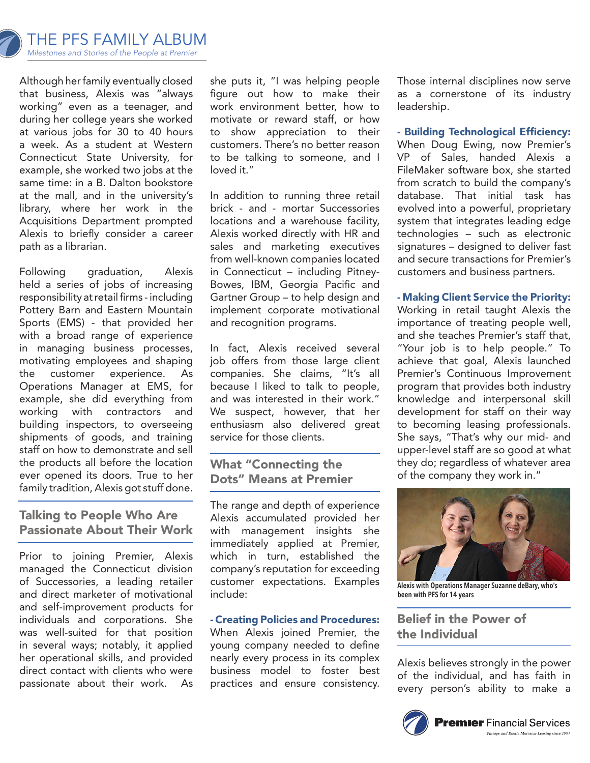

Although her family eventually closed that business, Alexis was "always working" even as a teenager, and during her college years she worked at various jobs for 30 to 40 hours a week. As a student at Western Connecticut State University, for example, she worked two jobs at the same time: in a B. Dalton bookstore at the mall, and in the university's library, where her work in the Acquisitions Department prompted Alexis to briefly consider a career path as a librarian.

Following graduation, Alexis held a series of jobs of increasing responsibility at retail firms - including Pottery Barn and Eastern Mountain Sports (EMS) - that provided her with a broad range of experience in managing business processes, motivating employees and shaping the customer experience. As Operations Manager at EMS, for example, she did everything from working with contractors and building inspectors, to overseeing shipments of goods, and training staff on how to demonstrate and sell the products all before the location ever opened its doors. True to her family tradition, Alexis got stuff done.

### Talking to People Who Are Passionate About Their Work

Prior to joining Premier, Alexis managed the Connecticut division of Successories, a leading retailer and direct marketer of motivational and self-improvement products for individuals and corporations. She was well-suited for that position in several ways; notably, it applied her operational skills, and provided direct contact with clients who were passionate about their work. As

she puts it, "I was helping people figure out how to make their work environment better, how to motivate or reward staff, or how to show appreciation to their customers. There's no better reason to be talking to someone, and I loved it."

In addition to running three retail brick - and - mortar Successories locations and a warehouse facility, Alexis worked directly with HR and sales and marketing executives from well-known companies located in Connecticut – including Pitney-Bowes, IBM, Georgia Pacific and Gartner Group – to help design and implement corporate motivational and recognition programs.

In fact, Alexis received several job offers from those large client companies. She claims, "It's all because I liked to talk to people, and was interested in their work." We suspect, however, that her enthusiasm also delivered great service for those clients.

### What "Connecting the Dots" Means at Premier

The range and depth of experience Alexis accumulated provided her with management insights she immediately applied at Premier, which in turn, established the company's reputation for exceeding customer expectations. Examples include:

#### - Creating Policies and Procedures:

When Alexis joined Premier, the young company needed to define nearly every process in its complex business model to foster best practices and ensure consistency.

Those internal disciplines now serve as a cornerstone of its industry leadership.

- Building Technological Efficiency: When Doug Ewing, now Premier's VP of Sales, handed Alexis a FileMaker software box, she started from scratch to build the company's database. That initial task has evolved into a powerful, proprietary system that integrates leading edge technologies – such as electronic signatures – designed to deliver fast and secure transactions for Premier's customers and business partners.

#### - Making Client Service the Priority:

Working in retail taught Alexis the importance of treating people well, and she teaches Premier's staff that, "Your job is to help people." To achieve that goal, Alexis launched Premier's Continuous Improvement program that provides both industry knowledge and interpersonal skill development for staff on their way to becoming leasing professionals. She says, "That's why our mid- and upper-level staff are so good at what they do; regardless of whatever area of the company they work in."



**Alexis with Operations Manager Suzanne deBary, who's been with PFS for 14 years**

## Belief in the Power of the Individual

Alexis believes strongly in the power of the individual, and has faith in every person's ability to make a